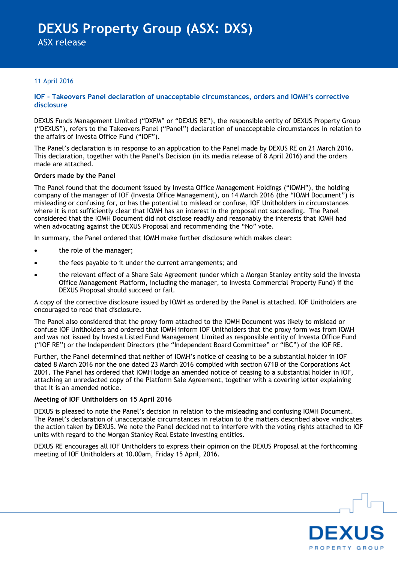ASX release

#### 11 April 2016

#### **IOF – Takeovers Panel declaration of unacceptable circumstances, orders and IOMH's corrective disclosure**

DEXUS Funds Management Limited ("DXFM" or "DEXUS RE"), the responsible entity of DEXUS Property Group ("DEXUS"), refers to the Takeovers Panel ("Panel") declaration of unacceptable circumstances in relation to the affairs of Investa Office Fund ("IOF").

The Panel's declaration is in response to an application to the Panel made by DEXUS RE on 21 March 2016. This declaration, together with the Panel"s Decision (in its media release of 8 April 2016) and the orders made are attached.

#### **Orders made by the Panel**

The Panel found that the document issued by Investa Office Management Holdings ("IOMH"), the holding company of the manager of IOF (Investa Office Management), on 14 March 2016 (the "IOMH Document") is misleading or confusing for, or has the potential to mislead or confuse, IOF Unitholders in circumstances where it is not sufficiently clear that IOMH has an interest in the proposal not succeeding. The Panel considered that the IOMH Document did not disclose readily and reasonably the interests that IOMH had when advocating against the DEXUS Proposal and recommending the "No" vote.

In summary, the Panel ordered that IOMH make further disclosure which makes clear:

- the role of the manager;
- the fees payable to it under the current arrangements; and
- the relevant effect of a Share Sale Agreement (under which a Morgan Stanley entity sold the Investa Office Management Platform, including the manager, to Investa Commercial Property Fund) if the DEXUS Proposal should succeed or fail.

A copy of the corrective disclosure issued by IOMH as ordered by the Panel is attached. IOF Unitholders are encouraged to read that disclosure.

The Panel also considered that the proxy form attached to the IOMH Document was likely to mislead or confuse IOF Unitholders and ordered that IOMH inform IOF Unitholders that the proxy form was from IOMH and was not issued by Investa Listed Fund Management Limited as responsible entity of Investa Office Fund ("IOF RE") or the Independent Directors (the "Independent Board Committee" or "IBC") of the IOF RE.

Further, the Panel determined that neither of IOMH"s notice of ceasing to be a substantial holder in IOF dated 8 March 2016 nor the one dated 23 March 2016 complied with section 671B of the Corporations Act 2001. The Panel has ordered that IOMH lodge an amended notice of ceasing to a substantial holder in IOF, attaching an unredacted copy of the Platform Sale Agreement, together with a covering letter explaining that it is an amended notice.

#### **Meeting of IOF Unitholders on 15 April 2016**

DEXUS is pleased to note the Panel"s decision in relation to the misleading and confusing IOMH Document. The Panel"s declaration of unacceptable circumstances in relation to the matters described above vindicates the action taken by DEXUS. We note the Panel decided not to interfere with the voting rights attached to IOF units with regard to the Morgan Stanley Real Estate Investing entities.

DEXUS RE encourages all IOF Unitholders to express their opinion on the DEXUS Proposal at the forthcoming meeting of IOF Unitholders at 10.00am, Friday 15 April, 2016.

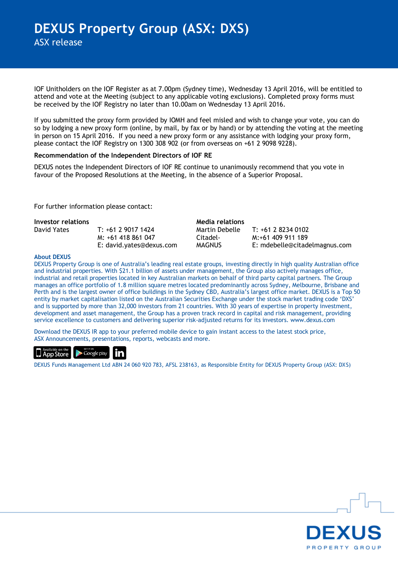IOF Unitholders on the IOF Register as at 7.00pm (Sydney time), Wednesday 13 April 2016, will be entitled to attend and vote at the Meeting (subject to any applicable voting exclusions). Completed proxy forms must be received by the IOF Registry no later than 10.00am on Wednesday 13 April 2016.

If you submitted the proxy form provided by IOMH and feel misled and wish to change your vote, you can do so by lodging a new proxy form (online, by mail, by fax or by hand) or by attending the voting at the meeting in person on 15 April 2016. If you need a new proxy form or any assistance with lodging your proxy form, please contact the IOF Registry on 1300 308 902 (or from overseas on +61 2 9098 9228).

#### **Recommendation of the Independent Directors of IOF RE**

DEXUS notes the Independent Directors of IOF RE continue to unanimously recommend that you vote in favour of the Proposed Resolutions at the Meeting, in the absence of a Superior Proposal.

For further information please contact:

| <b>Investor relations</b> |                          | Media relations |                               |
|---------------------------|--------------------------|-----------------|-------------------------------|
| David Yates               | $T: +61290171424$        | Martin Debelle  | $T: +61282340102$             |
|                           | M: +61 418 861 047       | Citadel-        | M:+61 409 911 189             |
|                           | E: david.yates@dexus.com | <b>MAGNUS</b>   | E: mdebelle@citadelmagnus.com |

#### **About DEXUS**

DEXUS Property Group is one of Australia"s leading real estate groups, investing directly in high quality Australian office and industrial properties. With \$21.1 billion of assets under management, the Group also actively manages office, industrial and retail properties located in key Australian markets on behalf of third party capital partners. The Group manages an office portfolio of 1.8 million square metres located predominantly across Sydney, Melbourne, Brisbane and Perth and is the largest owner of office buildings in the Sydney CBD, Australia"s largest office market. DEXUS is a Top 50 entity by market capitalisation listed on the Australian Securities Exchange under the stock market trading code "DXS" and is supported by more than 32,000 investors from 21 countries. With 30 years of expertise in property investment, development and asset management, the Group has a proven track record in capital and risk management, providing service excellence to customers and delivering superior risk-adjusted returns for its investors. www.dexus.com

Download the DEXUS IR app to your preferred mobile device to gain instant access to the latest stock price, ASX Announcements, presentations, reports, webcasts and more.



DEXUS Funds Management Ltd ABN 24 060 920 783, AFSL 238163, as Responsible Entity for DEXUS Property Group (ASX: DXS)

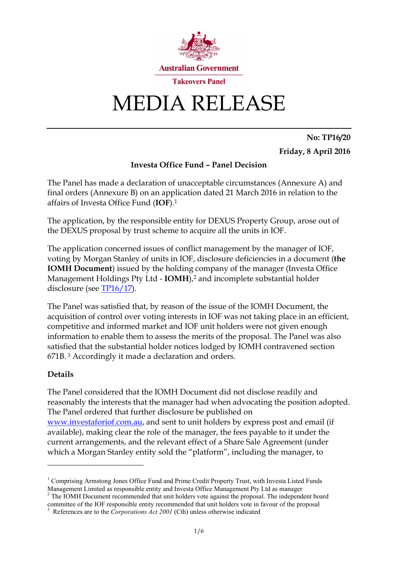

# MEDIA RELEASE

**No: TP16/20 Friday, 8 April 2016**

## **Investa Office Fund – Panel Decision**

The Panel has made a declaration of unacceptable circumstances (Annexure A) and final orders (Annexure B) on an application dated 21 March 2016 in relation to the affairs of Investa Office Fund (**IOF**). 1

The application, by the responsible entity for DEXUS Property Group, arose out of the DEXUS proposal by trust scheme to acquire all the units in IOF.

The application concerned issues of conflict management by the manager of IOF, voting by Morgan Stanley of units in IOF, disclosure deficiencies in a document (**the IOMH Document**) issued by the holding company of the manager (Investa Office Management Holdings Pty Ltd - **IOMH**), <sup>2</sup> and incomplete substantial holder disclosure (see [TP16/17\)](http://www.takeovers.gov.au/content/DisplayDoc.aspx?doc=media_releases/2016/017.htm&doctype=MR).

The Panel was satisfied that, by reason of the issue of the IOMH Document, the acquisition of control over voting interests in IOF was not taking place in an efficient, competitive and informed market and IOF unit holders were not given enough information to enable them to assess the merits of the proposal. The Panel was also satisfied that the substantial holder notices lodged by IOMH contravened section 671B. <sup>3</sup> Accordingly it made a declaration and orders.

## **Details**

<u>.</u>

The Panel considered that the IOMH Document did not disclose readily and reasonably the interests that the manager had when advocating the position adopted. The Panel ordered that further disclosure be published on [www.investaforiof.com.au,](http://www.investaforiof.com.au/) and sent to unit holders by express post and email (if available), making clear the role of the manager, the fees payable to it under the current arrangements, and the relevant effect of a Share Sale Agreement (under which a Morgan Stanley entity sold the "platform", including the manager, to

<sup>&</sup>lt;sup>1</sup> Comprising Armstong Jones Office Fund and Prime Credit Property Trust, with Investa Listed Funds Management Limited as responsible entity and Investa Office Management Pty Ltd as manager

<sup>&</sup>lt;sup>2</sup> The IOMH Document recommended that unit holders vote against the proposal. The independent board committee of the IOF responsible entity recommended that unit holders vote in favour of the proposal

<sup>&</sup>lt;sup>3</sup> References are to the *Corporations Act 2001* (Cth) unless otherwise indicated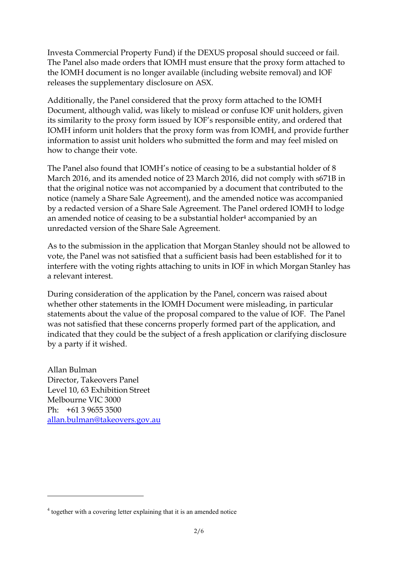Investa Commercial Property Fund) if the DEXUS proposal should succeed or fail. The Panel also made orders that IOMH must ensure that the proxy form attached to the IOMH document is no longer available (including website removal) and IOF releases the supplementary disclosure on ASX.

Additionally, the Panel considered that the proxy form attached to the IOMH Document, although valid, was likely to mislead or confuse IOF unit holders, given its similarity to the proxy form issued by IOF's responsible entity, and ordered that IOMH inform unit holders that the proxy form was from IOMH, and provide further information to assist unit holders who submitted the form and may feel misled on how to change their vote.

The Panel also found that IOMH's notice of ceasing to be a substantial holder of 8 March 2016, and its amended notice of 23 March 2016, did not comply with s671B in that the original notice was not accompanied by a document that contributed to the notice (namely a Share Sale Agreement), and the amended notice was accompanied by a redacted version of a Share Sale Agreement. The Panel ordered IOMH to lodge an amended notice of ceasing to be a substantial holder<sup>4</sup> accompanied by an unredacted version of the Share Sale Agreement.

As to the submission in the application that Morgan Stanley should not be allowed to vote, the Panel was not satisfied that a sufficient basis had been established for it to interfere with the voting rights attaching to units in IOF in which Morgan Stanley has a relevant interest.

During consideration of the application by the Panel, concern was raised about whether other statements in the IOMH Document were misleading, in particular statements about the value of the proposal compared to the value of IOF. The Panel was not satisfied that these concerns properly formed part of the application, and indicated that they could be the subject of a fresh application or clarifying disclosure by a party if it wished.

Allan Bulman Director, Takeovers Panel Level 10, 63 Exhibition Street Melbourne VIC 3000 Ph: +61 3 9655 3500 [allan.bulman@takeovers.gov.au](mailto:allan.bulman@takeovers.gov.au)

-

<sup>&</sup>lt;sup>4</sup> together with a covering letter explaining that it is an amended notice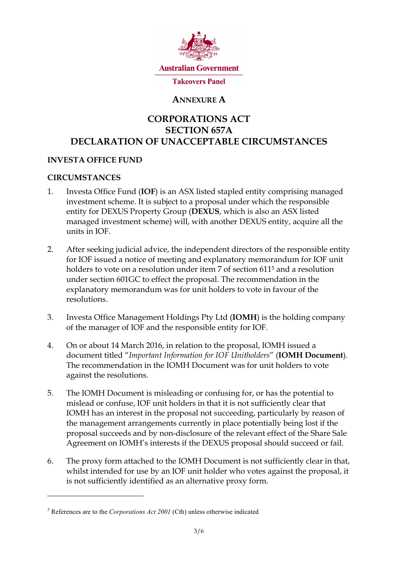

# **ANNEXURE A**

# **CORPORATIONS ACT SECTION 657A DECLARATION OF UNACCEPTABLE CIRCUMSTANCES**

#### **INVESTA OFFICE FUND**

## **CIRCUMSTANCES**

-

- 1. Investa Office Fund (**IOF**) is an ASX listed stapled entity comprising managed investment scheme. It is subject to a proposal under which the responsible entity for DEXUS Property Group (**DEXUS**, which is also an ASX listed managed investment scheme) will, with another DEXUS entity, acquire all the units in IOF.
- 2. After seeking judicial advice, the independent directors of the responsible entity for IOF issued a notice of meeting and explanatory memorandum for IOF unit holders to vote on a resolution under item 7 of section 611<sup>5</sup> and a resolution under section 601GC to effect the proposal. The recommendation in the explanatory memorandum was for unit holders to vote in favour of the resolutions.
- 3. Investa Office Management Holdings Pty Ltd (**IOMH**) is the holding company of the manager of IOF and the responsible entity for IOF.
- 4. On or about 14 March 2016, in relation to the proposal, IOMH issued a document titled "*Important Information for IOF Unitholders*" (**IOMH Document**). The recommendation in the IOMH Document was for unit holders to vote against the resolutions.
- 5. The IOMH Document is misleading or confusing for, or has the potential to mislead or confuse, IOF unit holders in that it is not sufficiently clear that IOMH has an interest in the proposal not succeeding, particularly by reason of the management arrangements currently in place potentially being lost if the proposal succeeds and by non-disclosure of the relevant effect of the Share Sale Agreement on IOMH's interests if the DEXUS proposal should succeed or fail.
- 6. The proxy form attached to the IOMH Document is not sufficiently clear in that, whilst intended for use by an IOF unit holder who votes against the proposal, it is not sufficiently identified as an alternative proxy form.

<sup>5</sup> References are to the *Corporations Act 2001* (Cth) unless otherwise indicated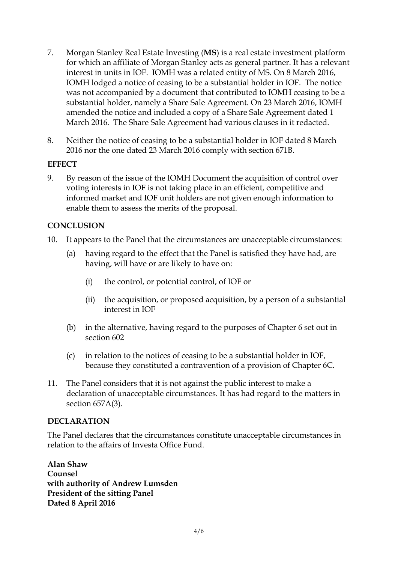- 7. Morgan Stanley Real Estate Investing (**MS**) is a real estate investment platform for which an affiliate of Morgan Stanley acts as general partner. It has a relevant interest in units in IOF. IOMH was a related entity of MS. On 8 March 2016, IOMH lodged a notice of ceasing to be a substantial holder in IOF. The notice was not accompanied by a document that contributed to IOMH ceasing to be a substantial holder, namely a Share Sale Agreement. On 23 March 2016, IOMH amended the notice and included a copy of a Share Sale Agreement dated 1 March 2016. The Share Sale Agreement had various clauses in it redacted.
- 8. Neither the notice of ceasing to be a substantial holder in IOF dated 8 March 2016 nor the one dated 23 March 2016 comply with section 671B.

## **EFFECT**

9. By reason of the issue of the IOMH Document the acquisition of control over voting interests in IOF is not taking place in an efficient, competitive and informed market and IOF unit holders are not given enough information to enable them to assess the merits of the proposal.

## **CONCLUSION**

- 10. It appears to the Panel that the circumstances are unacceptable circumstances:
	- (a) having regard to the effect that the Panel is satisfied they have had, are having, will have or are likely to have on:
		- (i) the control, or potential control, of IOF or
		- (ii) the acquisition, or proposed acquisition, by a person of a substantial interest in IOF
	- (b) in the alternative, having regard to the purposes of Chapter 6 set out in section 602
	- (c) in relation to the notices of ceasing to be a substantial holder in IOF, because they constituted a contravention of a provision of Chapter 6C.
- 11. The Panel considers that it is not against the public interest to make a declaration of unacceptable circumstances. It has had regard to the matters in section 657A(3).

## **DECLARATION**

The Panel declares that the circumstances constitute unacceptable circumstances in relation to the affairs of Investa Office Fund.

**Alan Shaw Counsel with authority of Andrew Lumsden President of the sitting Panel Dated 8 April 2016**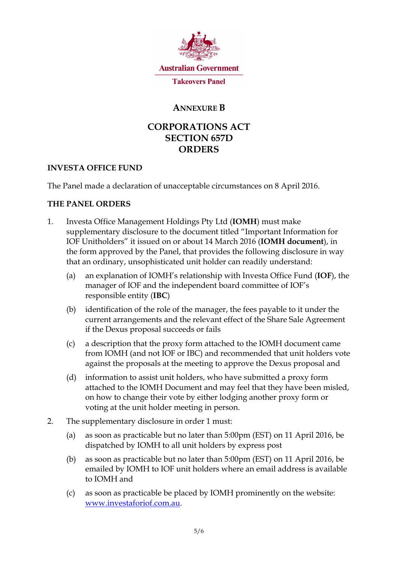

## **ANNEXURE B**

# **CORPORATIONS ACT SECTION 657D ORDERS**

## **INVESTA OFFICE FUND**

The Panel made a declaration of unacceptable circumstances on 8 April 2016.

## **THE PANEL ORDERS**

- 1. Investa Office Management Holdings Pty Ltd (**IOMH**) must make supplementary disclosure to the document titled "Important Information for IOF Unitholders" it issued on or about 14 March 2016 (**IOMH document**), in the form approved by the Panel, that provides the following disclosure in way that an ordinary, unsophisticated unit holder can readily understand:
	- (a) an explanation of IOMH's relationship with Investa Office Fund (**IOF**), the manager of IOF and the independent board committee of IOF's responsible entity (**IBC**)
	- (b) identification of the role of the manager, the fees payable to it under the current arrangements and the relevant effect of the Share Sale Agreement if the Dexus proposal succeeds or fails
	- (c) a description that the proxy form attached to the IOMH document came from IOMH (and not IOF or IBC) and recommended that unit holders vote against the proposals at the meeting to approve the Dexus proposal and
	- (d) information to assist unit holders, who have submitted a proxy form attached to the IOMH Document and may feel that they have been misled, on how to change their vote by either lodging another proxy form or voting at the unit holder meeting in person.
- 2. The supplementary disclosure in order 1 must:
	- (a) as soon as practicable but no later than 5:00pm (EST) on 11 April 2016, be dispatched by IOMH to all unit holders by express post
	- (b) as soon as practicable but no later than 5:00pm (EST) on 11 April 2016, be emailed by IOMH to IOF unit holders where an email address is available to IOMH and
	- (c) as soon as practicable be placed by IOMH prominently on the website: [www.investaforiof.com.au.](http://www.investaforiof.com.au/)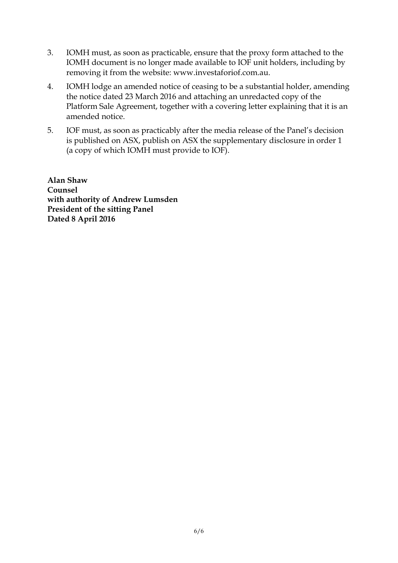- 3. IOMH must, as soon as practicable, ensure that the proxy form attached to the IOMH document is no longer made available to IOF unit holders, including by removing it from the website: [www.investaforiof.com.au.](http://www.investaforiof.com.au/)
- 4. IOMH lodge an amended notice of ceasing to be a substantial holder, amending the notice dated 23 March 2016 and attaching an unredacted copy of the Platform Sale Agreement, together with a covering letter explaining that it is an amended notice.
- 5. IOF must, as soon as practicably after the media release of the Panel's decision is published on ASX, publish on ASX the supplementary disclosure in order 1 (a copy of which IOMH must provide to IOF).

**Alan Shaw Counsel with authority of Andrew Lumsden President of the sitting Panel Dated 8 April 2016**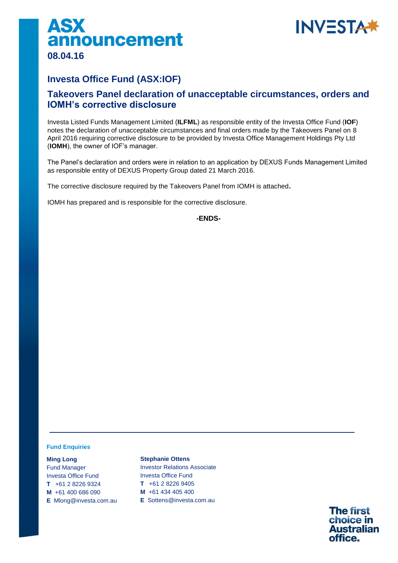



## **Investa Office Fund (ASX:IOF)**

## **Takeovers Panel declaration of unacceptable circumstances, orders and IOMH's corrective disclosure**

Investa Listed Funds Management Limited (**ILFML**) as responsible entity of the Investa Office Fund (**IOF**) notes the declaration of unacceptable circumstances and final orders made by the Takeovers Panel on 8 April 2016 requiring corrective disclosure to be provided by Investa Office Management Holdings Pty Ltd (**IOMH**), the owner of IOF's manager.

The Panel's declaration and orders were in relation to an application by DEXUS Funds Management Limited as responsible entity of DEXUS Property Group dated 21 March 2016.

The corrective disclosure required by the Takeovers Panel from IOMH is attached**.**

IOMH has prepared and is responsible for the corrective disclosure.

**-ENDS-**

#### **Fund Enquiries**

**Ming Long**  Fund Manager Investa Office Fund **T** +61 2 8226 9324 **M** +61 400 686 090 **E** Mlong@investa.com.au

**Stephanie Ottens**  Investor Relations Associate Investa Office Fund **T** +61 2 8226 9405 **M** +61 434 405 400 **E** Sottens@investa.com.au

> **The first** choice in **Australian** office.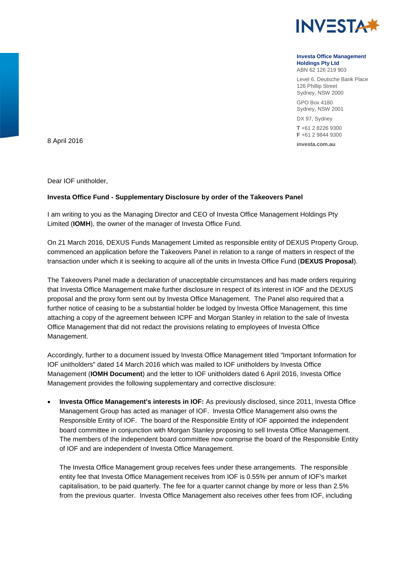

#### **Investa Office Management Holdings Pty Ltd**

ABN 62 126 219 903

Level 6, Deutsche Bank Place 126 Phillip Street Sydney, NSW 2000

GPO Box 4180 Sydney, NSW 2001

DX 97, Sydney **T** +61 2 8226 9300 **F** +61 2 9844 9300

**investa.com.au** 8 April 2016

Dear IOF unitholder,

#### **Investa Office Fund - Supplementary Disclosure by order of the Takeovers Panel**

I am writing to you as the Managing Director and CEO of Investa Office Management Holdings Pty Limited (**IOMH**), the owner of the manager of Investa Office Fund.

On 21 March 2016, DEXUS Funds Management Limited as responsible entity of DEXUS Property Group, commenced an application before the Takeovers Panel in relation to a range of matters in respect of the transaction under which it is seeking to acquire all of the units in Investa Office Fund (**DEXUS Proposal**).

The Takeovers Panel made a declaration of unacceptable circumstances and has made orders requiring that Investa Office Management make further disclosure in respect of its interest in IOF and the DEXUS proposal and the proxy form sent out by Investa Office Management. The Panel also required that a further notice of ceasing to be a substantial holder be lodged by Investa Office Management, this time attaching a copy of the agreement between ICPF and Morgan Stanley in relation to the sale of Investa Office Management that did not redact the provisions relating to employees of Investa Office Management.

Accordingly, further to a document issued by Investa Office Management titled "Important Information for IOF unitholders" dated 14 March 2016 which was mailed to IOF unitholders by Investa Office Management (**IOMH Document**) and the letter to IOF unitholders dated 6 April 2016, Investa Office Management provides the following supplementary and corrective disclosure:

 **Investa Office Management's interests in IOF:** As previously disclosed, since 2011, Investa Office Management Group has acted as manager of IOF. Investa Office Management also owns the Responsible Entity of IOF. The board of the Responsible Entity of IOF appointed the independent board committee in conjunction with Morgan Stanley proposing to sell Investa Office Management. The members of the independent board committee now comprise the board of the Responsible Entity of IOF and are independent of Investa Office Management.

The Investa Office Management group receives fees under these arrangements. The responsible entity fee that Investa Office Management receives from IOF is 0.55% per annum of IOF's market capitalisation, to be paid quarterly. The fee for a quarter cannot change by more or less than 2.5% from the previous quarter. Investa Office Management also receives other fees from IOF, including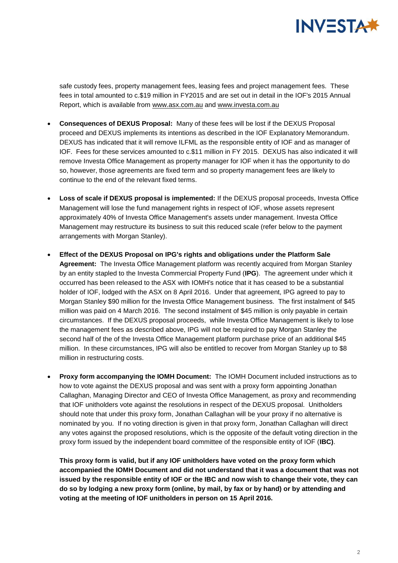

safe custody fees, property management fees, leasing fees and project management fees. These fees in total amounted to c.\$19 million in FY2015 and are set out in detail in the IOF's 2015 Annual Report, which is available from [www.asx.com.au](http://www.asx.com.au/) and [www.investa.com.au](http://www.investa.com.au/)

- **Consequences of DEXUS Proposal:** Many of these fees will be lost if the DEXUS Proposal proceed and DEXUS implements its intentions as described in the IOF Explanatory Memorandum. DEXUS has indicated that it will remove ILFML as the responsible entity of IOF and as manager of IOF. Fees for these services amounted to c.\$11 million in FY 2015. DEXUS has also indicated it will remove Investa Office Management as property manager for IOF when it has the opportunity to do so, however, those agreements are fixed term and so property management fees are likely to continue to the end of the relevant fixed terms.
- **Loss of scale if DEXUS proposal is implemented:** If the DEXUS proposal proceeds, Investa Office Management will lose the fund management rights in respect of IOF, whose assets represent approximately 40% of Investa Office Management's assets under management. Investa Office Management may restructure its business to suit this reduced scale (refer below to the payment arrangements with Morgan Stanley).
- **Effect of the DEXUS Proposal on IPG's rights and obligations under the Platform Sale Agreement:** The Investa Office Management platform was recently acquired from Morgan Stanley by an entity stapled to the Investa Commercial Property Fund (**IPG**). The agreement under which it occurred has been released to the ASX with IOMH's notice that it has ceased to be a substantial holder of IOF, lodged with the ASX on 8 April 2016. Under that agreement, IPG agreed to pay to Morgan Stanley \$90 million for the Investa Office Management business. The first instalment of \$45 million was paid on 4 March 2016. The second instalment of \$45 million is only payable in certain circumstances. If the DEXUS proposal proceeds, while Investa Office Management is likely to lose the management fees as described above, IPG will not be required to pay Morgan Stanley the second half of the of the Investa Office Management platform purchase price of an additional \$45 million. In these circumstances, IPG will also be entitled to recover from Morgan Stanley up to \$8 million in restructuring costs.
- **Proxy form accompanying the IOMH Document:** The IOMH Document included instructions as to how to vote against the DEXUS proposal and was sent with a proxy form appointing Jonathan Callaghan, Managing Director and CEO of Investa Office Management, as proxy and recommending that IOF unitholders vote against the resolutions in respect of the DEXUS proposal. Unitholders should note that under this proxy form, Jonathan Callaghan will be your proxy if no alternative is nominated by you. If no voting direction is given in that proxy form, Jonathan Callaghan will direct any votes against the proposed resolutions, which is the opposite of the default voting direction in the proxy form issued by the independent board committee of the responsible entity of IOF (**IBC)**.

**This proxy form is valid, but if any IOF unitholders have voted on the proxy form which accompanied the IOMH Document and did not understand that it was a document that was not issued by the responsible entity of IOF or the IBC and now wish to change their vote, they can do so by lodging a new proxy form (online, by mail, by fax or by hand) or by attending and voting at the meeting of IOF unitholders in person on 15 April 2016.**